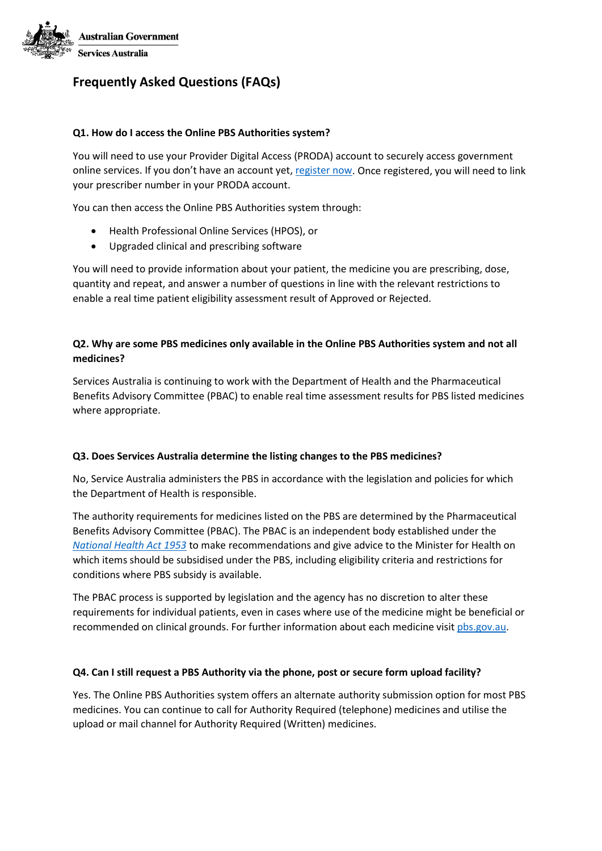

# **Frequently Asked Questions (FAQs)**

## **Q1. How do I access the Online PBS Authorities system?**

You will need to use your Provider Digital Access (PRODA) account to securely access government online services. If you don't have an account yet, [register now.](https://proda.humanservices.gov.au/pia/pages/public/registration/account/createAccount.jsf) Once registered, you will need to link your prescriber number in your PRODA account.

You can then access the Online PBS Authorities system through:

- Health Professional Online Services (HPOS), or
- Upgraded clinical and prescribing software

You will need to provide information about your patient, the medicine you are prescribing, dose, quantity and repeat, and answer a number of questions in line with the relevant restrictions to enable a real time patient eligibility assessment result of Approved or Rejected.

## **Q2. Why are some PBS medicines only available in the Online PBS Authorities system and not all medicines?**

Services Australia is continuing to work with the Department of Health and the Pharmaceutical Benefits Advisory Committee (PBAC) to enable real time assessment results for PBS listed medicines where appropriate.

### **Q3. Does Services Australia determine the listing changes to the PBS medicines?**

No, Service Australia administers the PBS in accordance with the legislation and policies for which the Department of Health is responsible.

The authority requirements for medicines listed on the PBS are determined by the Pharmaceutical Benefits Advisory Committee (PBAC). The PBAC is an independent body established under the *[National Health Act 1953](http://www.comlaw.gov.au/Series/C2004A07404)* to make recommendations and give advice to the Minister for Health on which items should be subsidised under the PBS, including eligibility criteria and restrictions for conditions where PBS subsidy is available.

The PBAC process is supported by legislation and the agency has no discretion to alter these requirements for individual patients, even in cases where use of the medicine might be beneficial or recommended on clinical grounds. For further information about each medicine visit [pbs.gov.au.](https://www.pbs.gov.au/pbs/home;jsessionid=mg8kf54dwhg11xifb21uunupy)

### **Q4. Can I still request a PBS Authority via the phone, post or secure form upload facility?**

Yes. The Online PBS Authorities system offers an alternate authority submission option for most PBS medicines. You can continue to call for Authority Required (telephone) medicines and utilise the upload or mail channel for Authority Required (Written) medicines.